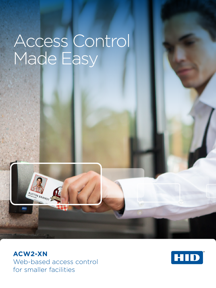# Access Control Made Easy

**ACW2-XN** Web-based access control for smaller facilities

**AUSTIN BRANDT** 

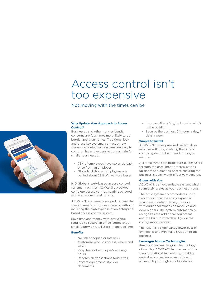# Access control isn't too expensive

Not moving with the times can be



# **Why Update Your Approach to Access Control?**

Businesses and other non-residential concerns are four times more likely to be burglarized than homes. Traditional lock and brass key systems, contact or low frequency contactless systems are easy to compromise and expensive to maintain for smaller businesses.

- 75% of employees have stolen at least once from an employer
- Globally, dishonest employees are behind about 28% of inventory losses

HID Global's web-based access control for small facilities, ACW2-XN, provides complete access control, neatly packaged within a secure metal housing.

ACW2-XN has been developed to meet the specific needs of business owners, without incurring the high expense of an enterprise based access control system.

Save time and money with everything required to secure an office, coffee shop, small factory or retail store in one package.

# **Benefits**

- No risk of copied or lost keys
- Customize who has access, where and when
- Keep track of employee's working hours
- Records all transactions (audit trail)
- Protect equipment, stock or documents
- Improves fire safety, by knowing who's in the building
- Secures the business 24-hours a day, 7 days a week

#### **Simple to Install**

ACW2-XN comes prewired, with built-in intuitive software, enabling the access control system to be up and running in minutes.

A simple three step procedure guides users through the enrollment process, setting up doors and creating access ensuring the business is quickly and effectively secured.

#### **Grows with You**

ACW2-XN is an expandable system, which seamlessly scales as your business grows.

The basic system accommodates up to two doors. It can be easily expanded to accommodate up to eight doors with additional expansion modules and door readers. The system automatically recognizes the additional equipment and the built-in wizards will guide the configuration process.

The result is a significantly lower cost of ownership and minimal disruption to the business.

# **Leverages Mobile Technologies**

Smartphones are the go-to technology of our day. ACW2-XN has harnessed this transformational technology, providing unrivalled convenience, security and accessibility through a mobile device.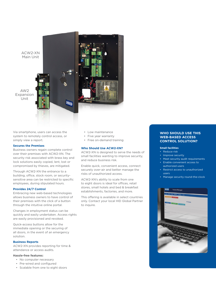

Via smartphone, users can access the system to remotely control access, or simply view a report.

#### **Secures the Premises**

Business owners regain complete control over their premises with ACW2-XN. The security risk associated with brass key and lock solutions easily copied, lent, lost or compromised by thieves, are mitigated.

Through ACW2-XN the entrance to a building, office, stock room, or securitysensitive area can be restricted to specific employees, during stipulated hours.

# **Provides 24/7 Control**

Embracing new web-based technologies allows business owners to have control of their premises with the click of a button through the intuitive online portal.

Changes in employment status can be quickly and easily undertaken. Access rights are easily provisioned and revoked.

Quick-access buttons allow for the immediate opening or the securing of all doors, in the event of an emergency solution.

# **Business Reports**

ACW2-XN provides reporting for time & attendance or access audits.

# **Hassle-free features:**

- No computer necessary
- Pre-wired and configured
- Scalable from one to eight doors
- Low maintenance
- Five year warranty
- Free on-demand training

# **Who Should Use ACW2-XN?**

ACW2-XN is designed to serve the needs of small facilities wanting to improve security, and reduce business risk.

Enable quick, convenient access, connect securely over-air and better manage the risks of unauthorized access.

ACW2-XN's ability to scale from one to eight doors is ideal for offices, retail stores, small hotels and bed & breakfast establishments, factories, and more.

This offering is available in select countries only. Contact your local HID Global Partner to inquire.

# **WHO SHOULD USE THIS WEB-BASED ACCESS CONTROL SOLUTION?**

# **Small facilities**

- Reduce risk
- Improve security
- Meet security audit requirements
- Enable convenient access to authorized users
- Restrict access to unauthorized users
- Manage security round-the-clock